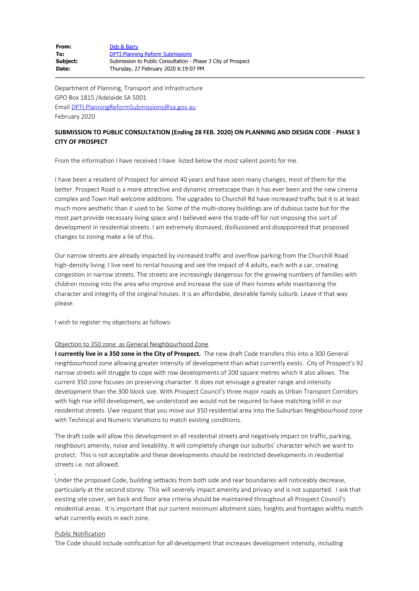| From:    | Deb & Barry                                                  |
|----------|--------------------------------------------------------------|
| To:      | <b>DPTI: Planning Reform Submissions</b>                     |
| Subject: | Submission to Public Consultation - Phase 3 City of Prospect |
| Date:    | Thursday, 27 February 2020 6:19:07 PM                        |

Department of Planning, Transport and Infrastructure GPO Box 1815 /Adelaide SA 5001 Email [DPTI.PlanningReformSubmissions@sa.gov.au](mailto:DPTI.PlanningReformSubmissions@sa.gov.au) February 2020

## **SUBMISSION TO PUBLIC CONSULTATION (Ending 28 FEB. 2020) ON PLANNING AND DESIGN CODE - PHASE 3 CITY OF PROSPECT**

From the information I have received I have listed below the most salient points for me.

I have been a resident of Prospect for almost 40 years and have seen many changes, most of them for the better. Prospect Road is a more attractive and dynamic streetscape than it has ever been and the new cinema complex and Town Hall welcome additions. The upgrades to Churchill Rd have increased traffic but it is at least much more aesthetic than it used to be. Some of the multi-storey buildings are of dubious taste but for the most part provide necessary living space and I believed were the trade-off for not imposing this sort of development in residential streets. I am extremely dismayed, disillusioned and disappointed that proposed changes to zoning make a lie of this.

Our narrow streets are already impacted by increased traffic and overflow parking from the Churchill Road high-density living. I live next to rental housing and see the impact of 4 adults, each with a car, creating congestion in narrow streets. The streets are increasingly dangerous for the growing numbers of families with children moving into the area who improve and increase the size of their homes while maintaining the character and integrity of the original houses. It is an affordable, desirable family suburb. Leave it that way please.

I wish to register my objections as follows:

## Objection to 350 zone as General Neighbourhood Zone

**I currently live in a 350 zone in the City of Prospect.** The new draft Code transfers this into a 300 General neighbourhood zone allowing greater intensity of development than what currently exists. City of Prospect's 92 narrow streets will struggle to cope with row developments of 200 square metres which it also allows. The current 350 zone focuses on preserving character. It does not envisage a greater range and intensity development than the 300 block size. With Prospect Council's three major roads as Urban Transport Corridors with high rise infill development, we understood we would not be required to have matching infill in our residential streets. I/we request that you move our 350 residential area into the Suburban Neighbourhood zone with Technical and Numeric Variations to match existing conditions.

The draft code will allow this development in all residential streets and negatively impact on traffic, parking, neighbours amenity, noise and liveability. It will completely change our suburbs' character which we want to protect. This is not acceptable and these developments should be restricted developments in residential streets i.e. not allowed.

Under the proposed Code, building setbacks from both side and rear boundaries will noticeably decrease, particularly at the second storey. This will severely impact amenity and privacy and is not supported. I ask that existing site cover, set back and floor area criteria should be maintained throughout all Prospect Council's residential areas. It is important that our current minimum allotment sizes, heights and frontages widths match what currently exists in each zone.

## Public Notification

The Code should include notification for all development that increases development intensity, including